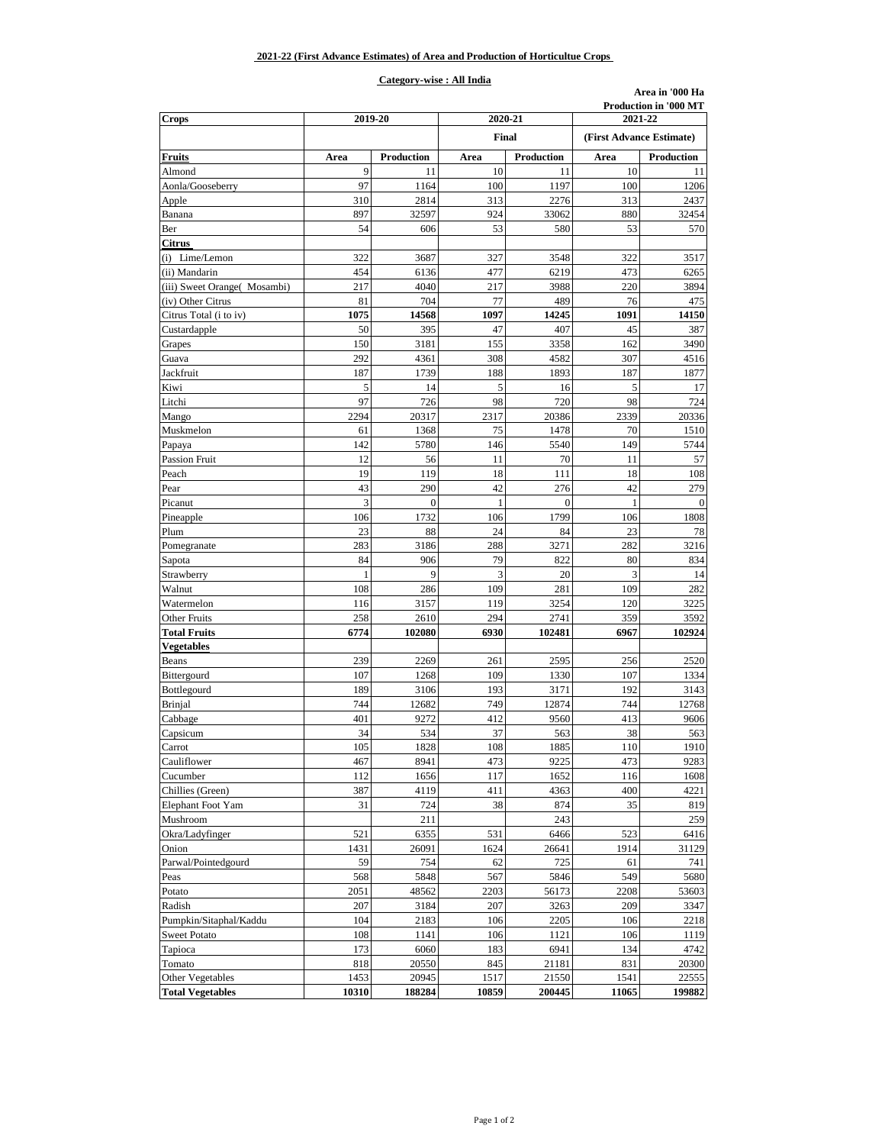## **Category-wise : All India**

**Area in '000 Ha**

| <b>Crops</b>                 | 2019-20 |              | 2020-21 |                          |         | <b>Production in '000 MT</b><br>2021-22 |  |
|------------------------------|---------|--------------|---------|--------------------------|---------|-----------------------------------------|--|
|                              | Final   |              |         | (First Advance Estimate) |         |                                         |  |
| <b>Fruits</b>                | Area    | Production   | Area    | Production               | Area    | Production                              |  |
| Almond                       | 9       | 11           | 10      | 11                       | 10      | 11                                      |  |
| Aonla/Gooseberry             | 97      | 1164         | 100     | 1197                     | 100     | 1206                                    |  |
| Apple                        | 310     | 2814         | 313     | 2276                     | 313     | 2437                                    |  |
| Banana                       | 897     | 32597        | 924     | 33062                    | 880     | 32454                                   |  |
| Ber                          | 54      | 606          | 53      | 580                      | 53      | 570                                     |  |
| <b>Citrus</b>                |         |              |         |                          |         |                                         |  |
| (i) Lime/Lemon               | 322     | 3687         | 327     | 3548                     | 322     | 3517                                    |  |
| (ii) Mandarin                | 454     | 6136         | 477     | 6219                     | 473     | 6265                                    |  |
| (iii) Sweet Orange( Mosambi) | 217     | 4040         | 217     | 3988                     | 220     | 3894                                    |  |
| (iv) Other Citrus            | 81      | 704          | 77      | 489                      | 76      | 475                                     |  |
| Citrus Total (i to iv)       | 1075    | 14568        | 1097    | 14245                    | 1091    | 14150                                   |  |
| Custardapple                 | 50      | 395          | 47      | 407                      | 45      | 387                                     |  |
| Grapes                       | 150     | 3181         | 155     | 3358                     | 162     | 3490                                    |  |
| Guava                        | 292     | 4361         | 308     | 4582                     | 307     | 4516                                    |  |
| Jackfruit                    | 187     | 1739         | 188     | 1893                     | 187     | 1877                                    |  |
| Kiwi                         | 5       | 14           | 5       | 16                       | 5       | 17                                      |  |
| Litchi                       | 97      | 726          | 98      | 720                      | 98      | 724                                     |  |
| Mango                        | 2294    | 20317        | 2317    | 20386                    | 2339    | 20336                                   |  |
| Muskmelon                    | 61      | 1368         | 75      | 1478                     | 70      | 1510                                    |  |
| Papaya                       | 142     | 5780         | 146     | 5540                     | 149     | 5744                                    |  |
| <b>Passion Fruit</b>         | 12      | 56           | 11      | 70                       | 11      | 57                                      |  |
| Peach                        | 19      | 119          | 18      | 111                      | 18      | 108                                     |  |
| Pear                         | 43      | 290          | 42      | 276                      | 42      | 279                                     |  |
| Picanut                      | 3       | $\mathbf{0}$ | 1       | $\theta$                 | 1       | $\Omega$                                |  |
| Pineapple                    | 106     | 1732         | 106     | 1799                     | 106     | 1808                                    |  |
| Plum                         | 23      | 88           | 24      | 84                       | 23      | 78                                      |  |
| Pomegranate                  | 283     | 3186         | 288     | 3271                     | 282     | 3216                                    |  |
| Sapota                       | 84      | 906          | 79      | 822                      | 80      | 834                                     |  |
| Strawberry                   | 1       | 9            | 3       | 20                       | 3       | 14                                      |  |
| Walnut                       | 108     | 286          | 109     | 281                      | 109     | 282                                     |  |
| Watermelon                   | 116     | 3157         | 119     | 3254                     | 120     | 3225                                    |  |
| <b>Other Fruits</b>          | 258     | 2610         | 294     | 2741                     | 359     | 3592                                    |  |
| <b>Total Fruits</b>          | 6774    | 102080       | 6930    | 102481                   | 6967    | 102924                                  |  |
| <b>Vegetables</b>            |         |              |         |                          |         |                                         |  |
| Beans                        | 239     | 2269         | 261     | 2595                     | 256     | 2520                                    |  |
| Bittergourd                  | 107     | 1268         | 109     | 1330                     | 107     | 1334                                    |  |
| Bottlegourd                  | 189     | 3106         | 193     | 3171                     | 192     | 3143                                    |  |
| Brinjal                      | 744     | 12682        | 749     | 12874                    | 744     | 12768                                   |  |
| Cabbage                      | 401     | 9272         | 412     | 9560                     | 413     | 9606                                    |  |
|                              | 34      | 534          | 37      | 563                      | 38      | 563                                     |  |
| Capsicum<br>Carrot           | $105\,$ | 1828         | $108\,$ | 1885                     | $110\,$ | 1910                                    |  |
| Cauliflower                  | 467     | 8941         | 473     | 9225                     | 473     | 9283                                    |  |
|                              |         |              |         |                          |         |                                         |  |
| Cucumber                     | 112     | 1656         | 117     | 1652                     | 116     | 1608                                    |  |
| Chillies (Green)             | 387     | 4119         | 411     | 4363                     | 400     | 4221                                    |  |
| Elephant Foot Yam            | 31      | 724          | 38      | 874                      | 35      | 819                                     |  |
| Mushroom                     |         | 211          |         | 243                      |         | 259                                     |  |
| Okra/Ladyfinger              | 521     | 6355         | 531     | 6466                     | 523     | 6416                                    |  |
| Onion                        | 1431    | 26091        | 1624    | 26641                    | 1914    | 31129                                   |  |
| Parwal/Pointedgourd          | 59      | 754          | 62      | 725                      | 61      | 741                                     |  |
| Peas                         | 568     | 5848         | 567     | 5846                     | 549     | 5680                                    |  |
| Potato                       | 2051    | 48562        | 2203    | 56173                    | 2208    | 53603                                   |  |
| Radish                       | 207     | 3184         | 207     | 3263                     | 209     | 3347                                    |  |
| Pumpkin/Sitaphal/Kaddu       | 104     | 2183         | 106     | 2205                     | 106     | 2218                                    |  |
| <b>Sweet Potato</b>          | 108     | 1141         | 106     | 1121                     | 106     | 1119                                    |  |
| Tapioca                      | 173     | 6060         | 183     | 6941                     | 134     | 4742                                    |  |
| Tomato                       | 818     | 20550        | 845     | 21181                    | 831     | 20300                                   |  |
| <b>Other Vegetables</b>      | 1453    | 20945        | 1517    | 21550                    | 1541    | 22555                                   |  |
| <b>Total Vegetables</b>      | 10310   | 188284       | 10859   | 200445                   | 11065   | 199882                                  |  |